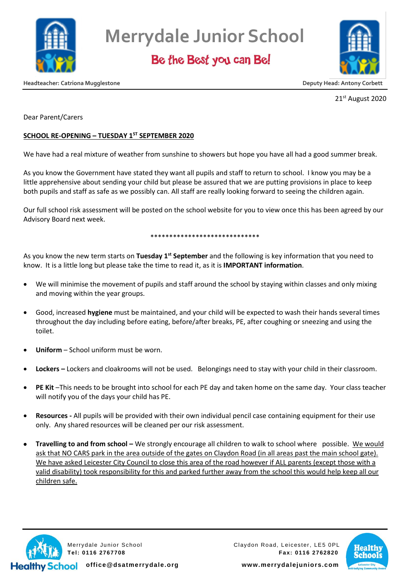

Be the Best you can Be!



**Headteacher: Catriona Mugglestone Deputy Head: Antony Corbett**

21st August 2020

Dear Parent/Carers

### **SCHOOL RE-OPENING – TUESDAY 1ST SEPTEMBER 2020**

We have had a real mixture of weather from sunshine to showers but hope you have all had a good summer break.

As you know the Government have stated they want all pupils and staff to return to school. I know you may be a little apprehensive about sending your child but please be assured that we are putting provisions in place to keep both pupils and staff as safe as we possibly can. All staff are really looking forward to seeing the children again.

Our full school risk assessment will be posted on the school website for you to view once this has been agreed by our Advisory Board next week.

#### \*\*\*\*\*\*\*\*\*\*\*\*\*\*\*\*\*\*\*\*\*\*\*\*\*\*\*\*\*

As you know the new term starts on **Tuesday 1st September** and the following is key information that you need to know. It is a little long but please take the time to read it, as it is **IMPORTANT information**.

- We will minimise the movement of pupils and staff around the school by staying within classes and only mixing and moving within the year groups.
- Good, increased **hygiene** must be maintained, and your child will be expected to wash their hands several times throughout the day including before eating, before/after breaks, PE, after coughing or sneezing and using the toilet.
- **Uniform**  School uniform must be worn.
- **Lockers –** Lockers and cloakrooms will not be used. Belongings need to stay with your child in their classroom.
- **PE Kit** –This needs to be brought into school for each PE day and taken home on the same day. Your class teacher will notify you of the days your child has PE.
- **Resources -** All pupils will be provided with their own individual pencil case containing equipment for their use only. Any shared resources will be cleaned per our risk assessment.
- **• Travelling to and from school** We strongly encourage all children to walk to school where possible. We would ask that NO CARS park in the area outside of the gates on Claydon Road (in all areas past the main school gate). We have asked Leicester City Council to close this area of the road however if ALL parents (except those with a valid disability) took responsibility for this and parked further away from the school this would help keep all our children safe.



Merrydale Junior School Claydon Road, Leicester, LE5 0PL **Tel: 0116 2767708 Fax: 0116 2762820**

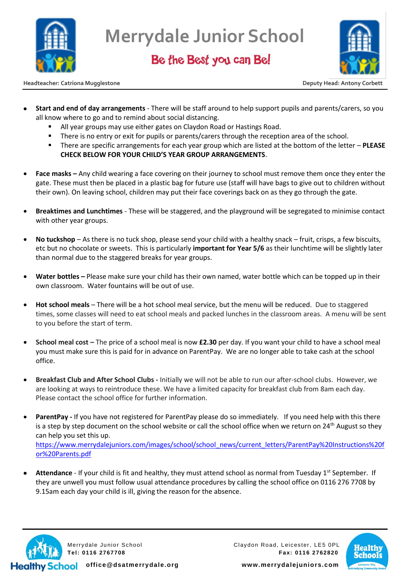

Be the Best you can Be!



**Headteacher: Catriona Mugglestone Deputy Head: Antony Corbett**

- **Start and end of day arrangements** There will be staff around to help support pupils and parents/carers, so you all know where to go and to remind about social distancing.
	- All year groups may use either gates on Claydon Road or Hastings Road.
	- **•** There is no entry or exit for pupils or parents/carers through the reception area of the school.
	- There are specific arrangements for each year group which are listed at the bottom of the letter **PLEASE CHECK BELOW FOR YOUR CHILD'S YEAR GROUP ARRANGEMENTS**.
- **Face masks –** Any child wearing a face covering on their journey to school must remove them once they enter the gate. These must then be placed in a plastic bag for future use (staff will have bags to give out to children without their own). On leaving school, children may put their face coverings back on as they go through the gate.
- **Breaktimes and Lunchtimes** These will be staggered, and the playground will be segregated to minimise contact with other year groups.
- **No tuckshop** As there is no tuck shop, please send your child with a healthy snack fruit, crisps, a few biscuits, etc but no chocolate or sweets. This is particularly **important for Year 5/6** as their lunchtime will be slightly later than normal due to the staggered breaks for year groups.
- **Water bottles –** Please make sure your child has their own named, water bottle which can be topped up in their own classroom. Water fountains will be out of use.
- **Hot school meals** There will be a hot school meal service, but the menu will be reduced. Due to staggered times, some classes will need to eat school meals and packed lunches in the classroom areas. A menu will be sent to you before the start of term.
- **School meal cost –** The price of a school meal is now **£2.30** per day. If you want your child to have a school meal you must make sure this is paid for in advance on ParentPay. We are no longer able to take cash at the school office.
- **Breakfast Club and After School Clubs -** Initially we will not be able to run our after-school clubs. However, we are looking at ways to reintroduce these. We have a limited capacity for breakfast club from 8am each day. Please contact the school office for further information.
- **ParentPay -** If you have not registered for ParentPay please do so immediately. If you need help with this there is a step by step document on the school website or call the school office when we return on  $24<sup>th</sup>$  August so they can help you set this up. [https://www.merrydalejuniors.com/images/school/school\\_news/current\\_letters/ParentPay%20Instructions%20f](https://www.merrydalejuniors.com/images/school/school_news/current_letters/ParentPay%20Instructions%20for%20Parents.pdf) [or%20Parents.pdf](https://www.merrydalejuniors.com/images/school/school_news/current_letters/ParentPay%20Instructions%20for%20Parents.pdf)
- Attendance If your child is fit and healthy, they must attend school as normal from Tuesday 1<sup>st</sup> September. If they are unwell you must follow usual attendance procedures by calling the school office on 0116 276 7708 by 9.15am each day your child is ill, giving the reason for the absence.



Merrydale Junior School Claydon Road, Leicester, LE5 0PL **Tel: 0116 2767708 Fax: 0116 2762820**

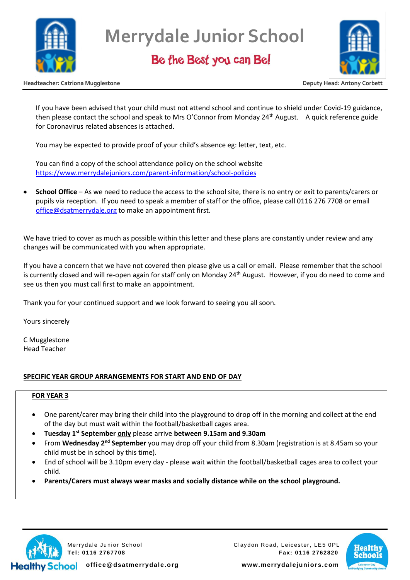

## Be the Best you can Be!



**Headteacher: Catriona Mugglestone Deputy Head: Antony Corbett**

If you have been advised that your child must not attend school and continue to shield under Covid-19 guidance, then please contact the school and speak to Mrs O'Connor from Monday  $24<sup>th</sup>$  August. A quick reference guide for Coronavirus related absences is attached.

You may be expected to provide proof of your child's absence eg: letter, text, etc.

You can find a copy of the school attendance policy on the school website <https://www.merrydalejuniors.com/parent-information/school-policies>

• **School Office** – As we need to reduce the access to the school site, there is no entry or exit to parents/carers or pupils via reception. If you need to speak a member of staff or the office, please call 0116 276 7708 or email [office@dsatmerrydale.org](mailto:office@dsatmerrydale.org) to make an appointment first.

We have tried to cover as much as possible within this letter and these plans are constantly under review and any changes will be communicated with you when appropriate.

If you have a concern that we have not covered then please give us a call or email. Please remember that the school is currently closed and will re-open again for staff only on Monday 24<sup>th</sup> August. However, if you do need to come and see us then you must call first to make an appointment.

Thank you for your continued support and we look forward to seeing you all soon.

Yours sincerely

C Mugglestone Head Teacher

### **SPECIFIC YEAR GROUP ARRANGEMENTS FOR START AND END OF DAY**

### **FOR YEAR 3**

- One parent/carer may bring their child into the playground to drop off in the morning and collect at the end of the day but must wait within the football/basketball cages area.
- **Tuesday 1st September only** please arrive **between 9.15am and 9.30am**
- From **Wednesday 2nd September** you may drop off your child from 8.30am (registration is at 8.45am so your child must be in school by this time).
- End of school will be 3.10pm every day please wait within the football/basketball cages area to collect your child.
- **Parents/Carers must always wear masks and socially distance while on the school playground.**



Merrydale Junior School Claydon Road, Leicester, LE5 0PL **Tel: 0116 2767708 Fax: 0116 2762820**